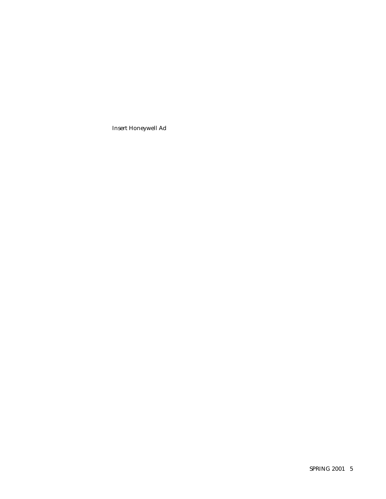Insert Honeywell Ad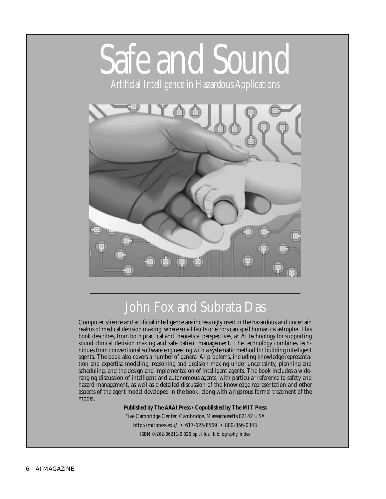# Safe and Sound

Artificial Intelligence in Hazardous Applications



# John Fox and Subrata Das

Computer science and artificial intelligence are increasingly used in the hazardous and uncertain realms of medical decision making, where small faults or errors can spell human catastrophe. This book describes, from both practical and theoretical perspectives, an AI technology for supporting sound clinical decision making and safe patient management. The technology combines techniques from conventional software engineering with a systematic method for building intelligent agents. The book also covers a number of general AI problems, including knowledge representation and expertise modeling, reasoning and decision making under uncertainty, planning and scheduling, and the design and implementation of intelligent agents. The book includes a wideranging discussion of intelligent and autonomous agents, with particular reference to safety and hazard management, as well as a detailed discussion of the knowledge representation and other aspects of the agent model developed in the book, along with a rigorous formal treatment of the model.

#### **Published by The AAAI Press / Copublished by The MIT Press**

Five Cambridge Center, Cambridge, Massachusetts 02142 USA http://mitpress.edu/ • 617-625-8569 • 800-356-0343 ISBN 0-262-06211-9 326 pp., illus., bibliography, index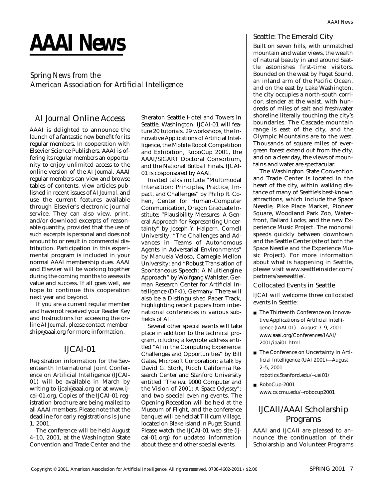# **AAAI News**

#### *Spring News from the American Association for Artificial Intelligence*

#### *AI Journal* Online Access

AAAI is delighted to announce the launch of a fantastic new benefit for its regular members. In cooperation with Elsevier Science Publishers, AAAI is offering its regular members an opportunity to enjoy unlimited access to the online version of the *AI Journal.* AAAI regular members can view and browse tables of contents, view articles published in recent issues of *AI Journal*, and use the current features available through Elsevier's electronic journal service. They can also view, print, and/or download excerpts of reasonable quantity, provided that the use of such excerpts is personal and does not amount to or result in commercial distribution. Participation in this experimental program is included in your normal AAAI membership dues. AAAI and Elsevier will be working together during the coming months to assess its value and success. If all goes well, we hope to continue this cooperation next year and beyond.

If you are a current regular member and have not received your Reader Key and Instructions for accessing the online *AI Journal,* please contact membership@aaai.org for more information.

#### IJCAI-01

Registration information for the Seventeenth International Joint Conference on Artificial Intelligence (IJCAI-01) will be available in March by writing to ijcai@aaai.org or at www.ijcai-01.org. Copies of the IJCAI-01 registration brochure are being mailed to all AAAI members. Please note that the deadline for early registrations is June 1, 2001.

The conference will be held August 4–10, 2001, at the Washington State Convention and Trade Center and the Sheraton Seattle Hotel and Towers in Seattle, Washington. IJCAI-01 will feature 20 tutorials, 29 workshops, the Innovative Applications of Artificial Intelligence, the Mobile Robot Competition and Exhibition, RoboCup 2001, the AAAI/SIGART Doctoral Consortium, and the National Botball Finals. IJCAI-01 is cosponsored by AAAI.

Invited talks include "Multimodal Interaction: Principles, Practice, Impact, and Challenges" by Philip R. Cohen, Center for Human-Computer Communication, Oregon Graduate Institute; "Plausibility Measures: A General Approach for Representing Uncertainty" by Joseph Y. Halpern, Cornell University; "The Challenges and Advances in Teams of Autonomous Agents in Adversarial Environments" by Manuela Veloso, Carnegie Mellon University; and "Robust Translation of Spontaneous Speech: A Multiengine Approach" by Wolfgang Wahlster, German Research Center for Artificial Intelligence (DFKI), Germany. There will also be a Distinguished Paper Track, highlighting recent papers from international conferences in various subfields of AI.

Several other special events will take place in addition to the technical program, icluding a keynote address entitled "AI in the Computing Experience: Challenges and Opportunities" by Bill Gates, Microsoft Corporation; a talk by David G. Stork, Ricoh California Research Center and Stanford University entitled "The HAL 9000 Computer and the Vision of *2001: A Space Odyssey"*; and two special evening events. The Opening Reception will be held at the Museum of Flight, and the conference banquet will be held at Tillicum Village, located on Blake Island in Puget Sound. Please watch the IJCAI-01 web site (ijcai-01.org) for updated information about these and other special events.

Built on seven hills, with unmatched mountain and water views, the wealth of natural beauty in and around Seattle astonishes first-time visitors. Bounded on the west by Puget Sound, an inland arm of the Pacific Ocean, and on the east by Lake Washington, the city occupies a north-south corridor, slender at the waist, with hundreds of miles of salt and freshwater shoreline literally touching the city's boundaries. The Cascade mountain range is east of the city, and the Olympic Mountains are to the west. Thousands of square miles of evergreen forest extend out from the city, and on a clear day, the views of mountains and water are spectacular.

The Washington State Convention and Trade Center is located in the heart of the city, within walking distance of many of Seattle's best-known attractions, which include the Space Needle, Pike Place Market, Pioneer Square, Woodland Park Zoo, Waterfront, Ballard Locks, and the new Experience Music Project. The monorail speeds quickly between downtown and the Seattle Center (site of both the Space Needle and the Experience Music Project). For more information about what is happening in Seattle, please visit www.seattleinsider.com/ partners/seeseattle/.

#### Collocated Events in Seattle

IJCAI will welcome three collocated events in Seattle:

- The Thirteenth Conference on Innovative Applications of Artificial Intelligence (IAAI-01)—August 7–9, 2001 www.aaai.org/Conferences/IAAI/ 2001/iaai01.html
- The Conference on Uncertainty in Artificial Intelligence (UAI 2001)—August 2–5, 2001
- robotics.Stanford.edu/~uai01/ ■ RoboCup-2001
- www.cs.cmu.edu/~robocup2001

#### IJCAII/AAAI Scholarship Programs

AAAI and IJCAII are pleased to announce the continuation of their Scholarship and Volunteer Programs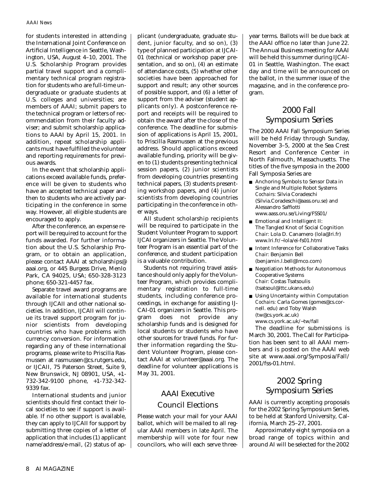#### *AAAI News*

for students interested in attending the International Joint Conference on Artificial Intelligence in Seattle, Washington, USA, August 4–10, 2001. The U.S. Scholarship Program provides partial travel support and a complimentary technical program registration for students who are full-time undergraduate or graduate students at U.S. colleges and universities; are members of AAAI; submit papers to the technical program or letters of recommendation from their faculty adviser; and submit scholarship applications to AAAI by April 15, 2001. In addition, repeat scholarship applicants must have fulfilled the volunteer and reporting requirements for previous awards.

In the event that scholarship applications exceed available funds, preference will be given to students who have an accepted technical paper and then to students who are actively participating in the conference in some way. However, all eligible students are encouraged to apply.

After the conference, an expense report will be required to account for the funds awarded. For further information about the U.S. Scholarship Program, or to obtain an application, please contact AAAI at scholarships@ aaai.org, or 445 Burgess Drive, Menlo Park, CA 94025, USA; 650-328-3123 phone; 650-321-4457 fax.

Separate travel award programs are available for international students through IJCAII and other national societies. In addition, IJCAII will continue its travel support program for junior scientists from developing countries who have problems with currency conversion. For information regarding any of these international programs, please write to Priscilla Rasmussen at rasmussen@cs.rutgers.edu, or IJCAII, 75 Paterson Street, Suite 9, New Brunswick, NJ 08901, USA, +1- 732-342-9100 phone, +1-732-342- 9339 fax.

International students and junior scientists should first contact their local societies to see if support is available. If no other support is available, they can apply to IJCAII for support by submitting three copies of a letter of application that includes (1) applicant name/address/e-mail, (2) status of ap-

plicant (undergraduate, graduate student, junior faculty, and so on), (3) type of planned participation at IJCAI-01 (technical or workshop paper presentation, and so on), (4) an estimate of attendance costs, (5) whether other societies have been approached for support and result; any other sources of possible support, and (6) a letter of support from the adviser (student applicants only). A postconference report and receipts will be required to obtain the award after the close of the conference. The deadline for submission of applications is April 15, 2001, to Priscilla Rasmussen at the previous address. Should applications exceed available funding, priority will be given to (1) students presenting technical session papers, (2) junior scientists from developing countries presenting technical papers, (3) students presenting workshop papers, and (4) junior scientists from developing countries participating in the conference in other ways.

All student scholarship recipients will be required to participate in the Student Volunteer Program to support IJCAI organizers in Seattle. The Volunteer Program is an essential part of the conference, and student participation is a valuable contribution.

Students not requiring travel assistance should only apply for the Volunteer Program, which provides complimentary registration to full-time students, including conference proceedings, in exchange for assisting IJ-CAI-01 organizers in Seattle. This program does not provide any scholarship funds and is designed for local students or students who have other sources for travel funds. For further information regarding the Student Volunteer Program, please contact AAAI at volunteer@aaai.org. The deadline for volunteer applications is May 31, 2001.

#### AAAI Executive Council Elections

Please watch your mail for your AAAI ballot, which will be mailed to all regular AAAI members in late April. The membership will vote for four new councilors, who will each serve threeyear terms. Ballots will be due back at the AAAI office no later than June 22. The Annual Business meeting for AAAI will be held this summer during IJCAI-01 in Seattle, Washington. The exact day and time will be announced on the ballot, in the summer issue of the magazine, and in the conference program.

#### 2000 Fall Symposium Series

The 2000 AAAI Fall Symposium Series will be held Friday through Sunday, November 3–5, 2000 at the Sea Crest Resort and Conference Center in North Falmouth, Massachusetts. The titles of the five symposia in the 2000 Fall Symposia Series are

- Anchoring Symbols to Sensor Data in Single and Multiple Robot Systems *Cochairs:* Silvia Coradeschi (Silvia.Coradeschi@aass.oru.se) and Alessandro Saffiotti www.aass.oru.se/Living/FSS01/
- Emotional and Intelligent II: The Tangled Knot of Social Cognition *Chair:* Lola D. Canamero (lola@lri.fr) www.lri.fr/~lola/ei-fs01.html
- Intent Inference for Collaborative Tasks *Chair:* Benjamin Bell (benjamin.l.bell@lmco.com)
- Negotiation Methods for Autonomous Cooperative Systems *Chair:* Costas Tsatsoulis (tsatsoul@ittc.ukans.edu)
- Using Uncertainty within Computation *Cochairs:* Carla Gomes (gomes@cs.cornell. edu) and Toby Walsh (tw@cs.york.ac.uk) www.cs.york.ac.uk/~tw/fall

The deadline for submissions is March 30, 2001. The Call for Participation has been sent to all AAAI members and is posted on the AAAI web site at www.aaai.org/Symposia/Fall/ 2001/fss-01.html.

#### 2002 Spring Symposium Series

AAAI is currently accepting proposals for the 2002 Spring Symposium Series, to be held at Stanford University, California, March 25–27, 2001.

Approximately eight symposia on a broad range of topics within and around AI will be selected for the 2002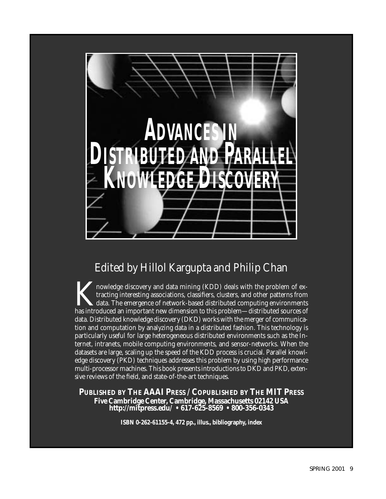

## Edited by Hillol Kargupta and Philip Chan

nowledge discovery and data mining (KDD) deals with the problem of extracting interesting associations, classifiers, clusters, and other patterns from data. The emergence of network-based distributed computing environments has introduced an important new dimension to this problem—distributed sources of data. Distributed knowledge discovery (DKD) works with the merger of communication and computation by analyzing data in a distributed fashion. This technology is particularly useful for large heterogeneous distributed environments such as the Internet, intranets, mobile computing environments, and sensor-networks. When the datasets are large, scaling up the speed of the KDD process is crucial. Parallel knowledge discovery (PKD) techniques addresses this problem by using high performance multi-processor machines. This book presents introductions to DKD and PKD, extensive reviews of the field, and state-of-the-art techniques.

### **PUBLISHED BY THE AAAI PRESS / COPUBLISHED BY THE MIT PRESS Five Cambridge Center, Cambridge, Massachusetts 02142 USA http://mitpress.edu/ • 617-625-8569 • 800-356-0343**

**ISBN 0-262-61155-4, 472 pp., illus., bibliography, index**